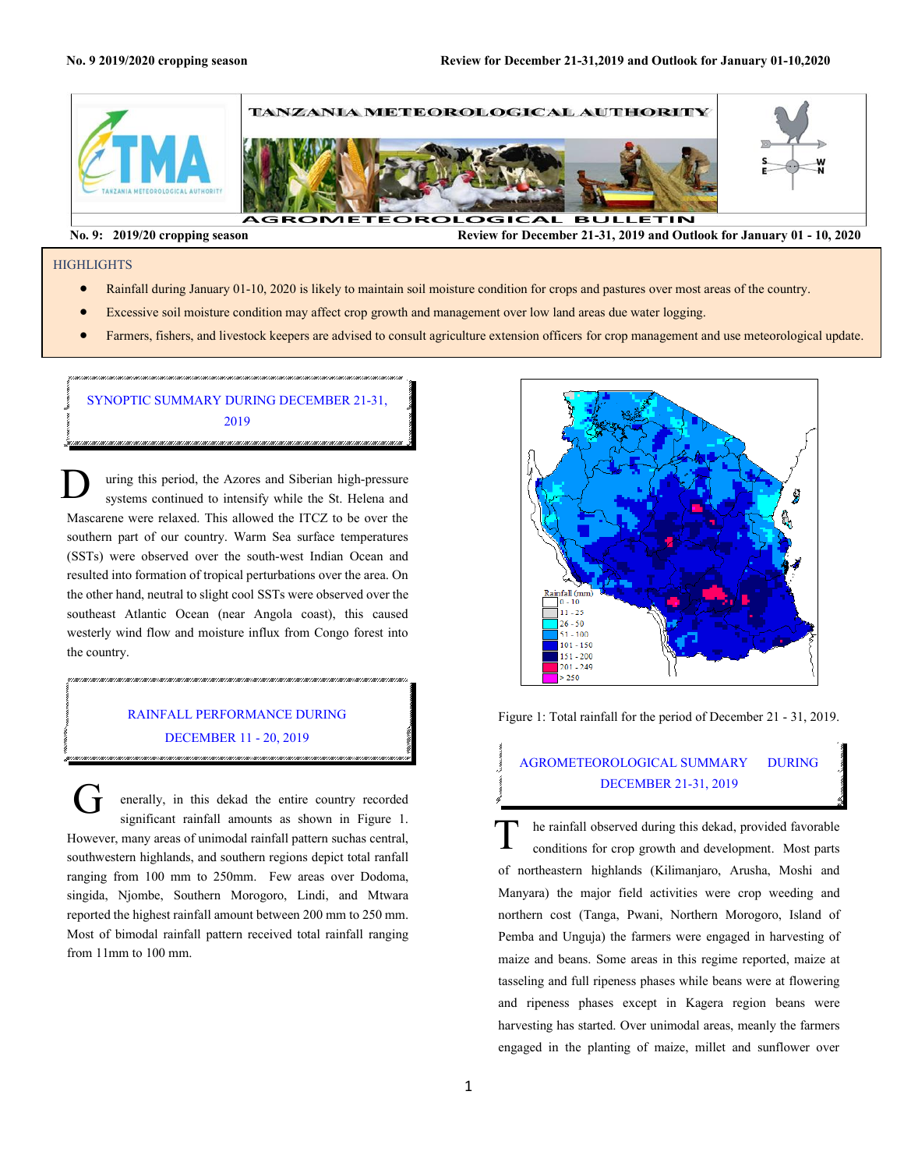

**No. 9: 2019/20 cropping season Review for December 21-31, 2019 and Outlook for January 01 - 10, 2020** 

#### **HIGHLIGHTS**

- Rainfall during January 01-10, 2020 is likely to maintain soil moisture condition for crops and pastures over most areas of the country.
- Excessive soil moisture condition may affect crop growth and management over low land areas due water logging.
- Farmers, fishers, and livestock keepers are advised to consult agriculture extension officers for crop management and use meteorological update.

## SYNOPTIC SUMMARY DURING DECEMBER 21-31, 2019

uring this period, the Azores and Siberian high-pressure systems continued to intensify while the St. Helena and Mascarene were relaxed. This allowed the ITCZ to be over the southern part of our country. Warm Sea surface temperatures (SSTs) were observed over the south-west Indian Ocean and resulted into formation of tropical perturbations over the area. On the other hand, neutral to slight cool SSTs were observed over the southeast Atlantic Ocean (near Angola coast), this caused westerly wind flow and moisture influx from Congo forest into the country. D

### RAINFALL PERFORMANCE DURING DECEMBER 11 - 20, 2019

חיס מסרטות המרכזות המרכזות המרכזות המרכזות המרכזות המרכזות המרכזות המרכזות המרכזות המרכזות המרכזות המרכזות המרכזות המרכזות המרכזות המרכזות המרכזות המרכזות המרכזות המרכזות המרכזות המרכזות המרכזות המרכזות המרכזות המרכזות המר

.<br>1991 - 1991 - 1991 - 1991 - 1991 - 1991 - 1991 - 1991 - 1991 - 1991 - 1991 - 1991 - 1991 - 1991 - 1991 - 1991

enerally, in this dekad the entire country recorded significant rainfall amounts as shown in Figure 1. However, many areas of unimodal rainfall pattern suchas central, southwestern highlands, and southern regions depict total ranfall ranging from 100 mm to 250mm. Few areas over Dodoma, singida, Njombe, Southern Morogoro, Lindi, and Mtwara reported the highest rainfall amount between 200 mm to 250 mm. Most of bimodal rainfall pattern received total rainfall ranging from 11mm to 100 mm.  $\dot{\mathbf{r}}$ 



Figure 1: Total rainfall for the period of December 21 - 31, 2019.

# DECEMBER 21-31, 2019<br>
he rainfall observed during this dekad, provided favorable AGROMETEOROLOGICAL SUMMARY DURING DECEMBER 21-31, 2019

conditions for crop growth and development. Most parts of northeastern highlands (Kilimanjaro, Arusha, Moshi and Manyara) the major field activities were crop weeding and northern cost (Tanga, Pwani, Northern Morogoro, Island of Pemba and Unguja) the farmers were engaged in harvesting of maize and beans. Some areas in this regime reported, maize at tasseling and full ripeness phases while beans were at flowering and ripeness phases except in Kagera region beans were harvesting has started. Over unimodal areas, meanly the farmers engaged in the planting of maize, millet and sunflower over  $\overline{T}$